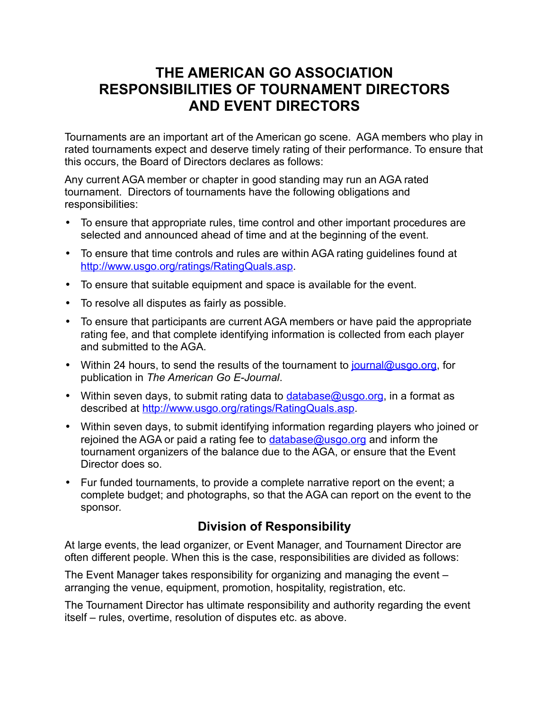## **THE AMERICAN GO ASSOCIATION RESPONSIBILITIES OF TOURNAMENT DIRECTORS AND EVENT DIRECTORS**

Tournaments are an important art of the American go scene. AGA members who play in rated tournaments expect and deserve timely rating of their performance. To ensure that this occurs, the Board of Directors declares as follows:

Any current AGA member or chapter in good standing may run an AGA rated tournament. Directors of tournaments have the following obligations and responsibilities:

- To ensure that appropriate rules, time control and other important procedures are selected and announced ahead of time and at the beginning of the event.
- To ensure that time controls and rules are within AGA rating guidelines found at [http://www.usgo.org/ratings/RatingQuals.asp.](http://www.usgo.org/ratings/RatingQuals.asp)
- To ensure that suitable equipment and space is available for the event.
- To resolve all disputes as fairly as possible.
- To ensure that participants are current AGA members or have paid the appropriate rating fee, and that complete identifying information is collected from each player and submitted to the AGA.
- Within 24 hours, to send the results of the tournament to [journal@usgo.org,](mailto:journal@usgo.org) for publication in *The American Go E-Journal*.
- Within seven days, to submit rating data to  $database@usqo.org$ , in a format as described at [http://www.usgo.org/ratings/RatingQuals.asp.](http://www.usgo.org/ratings/RatingQuals.asp)
- Within seven days, to submit identifying information regarding players who joined or rejoined the AGA or paid a rating fee to [database@usgo.org](mailto:database@usgo.org) and inform the tournament organizers of the balance due to the AGA, or ensure that the Event Director does so.
- Fur funded tournaments, to provide a complete narrative report on the event; a complete budget; and photographs, so that the AGA can report on the event to the sponsor.

## **Division of Responsibility**

At large events, the lead organizer, or Event Manager, and Tournament Director are often different people. When this is the case, responsibilities are divided as follows:

The Event Manager takes responsibility for organizing and managing the event – arranging the venue, equipment, promotion, hospitality, registration, etc.

The Tournament Director has ultimate responsibility and authority regarding the event itself – rules, overtime, resolution of disputes etc. as above.